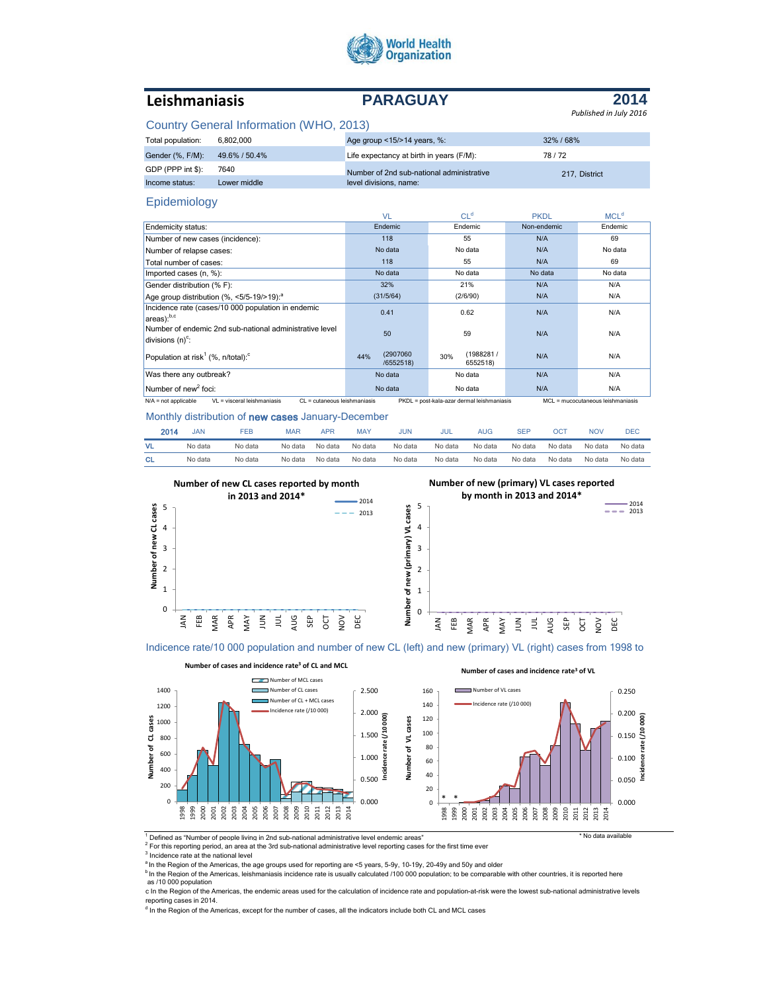

# **Leishmaniasis PARAGUAY**

#### **2014** *Published in July 2016*

## Country General Information (WHO, 2013)

| Total population: | 6.802.000     | Age group <15/>>14 years, %:              | 32%/68%       |  |
|-------------------|---------------|-------------------------------------------|---------------|--|
| Gender (%, F/M):  | 49.6% / 50.4% | Life expectancy at birth in years (F/M):  | 78/72         |  |
| GDP (PPP int \$): | 7640          | Number of 2nd sub-national administrative | 217. District |  |
| Income status:    | Lower middle  | level divisions, name:                    |               |  |

#### Epidemiology

|                                                                                                                                                                              | VL                           | CL <sup>d</sup>              | <b>PKDL</b> | MCL <sup>d</sup> |
|------------------------------------------------------------------------------------------------------------------------------------------------------------------------------|------------------------------|------------------------------|-------------|------------------|
| Endemicity status:                                                                                                                                                           | Endemic                      | Endemic                      | Non-endemic | Endemic          |
| Number of new cases (incidence):                                                                                                                                             | 118                          | 55                           | N/A         | 69               |
| Number of relapse cases:                                                                                                                                                     | No data                      | No data                      | N/A         | No data          |
| Total number of cases:                                                                                                                                                       | 118                          | 55                           | N/A         | 69               |
| Imported cases (n, %):                                                                                                                                                       | No data                      | No data                      | No data     | No data          |
| Gender distribution (% F):                                                                                                                                                   | 32%                          | 21%                          | N/A         | N/A              |
| Age group distribution (%, <5/5-19/>19): <sup>a</sup>                                                                                                                        | (31/5/64)                    | (2/6/90)                     | N/A         | N/A              |
| Incidence rate (cases/10 000 population in endemic<br>areas):b,c                                                                                                             | 0.41                         | 0.62                         | N/A         | N/A              |
| Number of endemic 2nd sub-national administrative level<br>divisions $(n)^c$ :                                                                                               | 50                           | 59                           | N/A         | N/A              |
| Population at risk <sup>1</sup> (%, n/total): <sup>c</sup>                                                                                                                   | (2907060<br>44%<br>/6552518) | (1988281/<br>30%<br>6552518) | N/A         | N/A              |
| Was there any outbreak?                                                                                                                                                      | No data                      | No data                      | N/A         | N/A              |
| Number of new <sup>2</sup> foci:                                                                                                                                             | No data                      | No data                      | N/A         | N/A              |
| $N/A$ = not applicable<br>$VI = visceral leishmaniasis$<br>PKDL = post-kala-azar dermal leishmaniasis<br>MCL = mucocutaneous leishmaniasis<br>$Cl = cutaneous leishmaniasis$ |                              |                              |             |                  |

Monthly distribution of new cases January-December

| 2014      | <b>JAN</b> | FEB     | <b>MAR</b> | APR     | <b>MAY</b> | JUN     | JUL     | AUG     | <b>SEF</b> | OCT     | <b>NOV</b> | <b>DEC</b> |
|-----------|------------|---------|------------|---------|------------|---------|---------|---------|------------|---------|------------|------------|
| VL.       | No data    | No data | No data    | No data | No data    | No data | No data | No data | No data    | No data | No data    | No data    |
| <b>CL</b> | No data    | No data | No data    | No data | No data    | No data | No data | No data | No data    | No data | No data    | No data    |



Indicence rate/10 000 population and number of new CL (left) and new (primary) VL (right) cases from 1998 to



<sup>1</sup> Defined as "Number of people living in 2nd sub-national administrative level endemic areas" example of the state available

 $2$  For this reporting period, an area at the 3rd sub-national administrative level reporting cases for the first time ever

<sup>3</sup> Incidence rate at the national level

<sup>a</sup> In the Region of the Americas, the age groups used for reporting are <5 years, 5-9y, 10-19y, 20-49y and 50y and older

<sup>b</sup> In the Region of the Americas, leishmaniasis incidence rate is usually calculated /100 000 population; to be comparable with other countries, it is reported here as /10 000 population

c In the Region of the Americas, the endemic areas used for the calculation of incidence rate and population-at-risk were the lowest sub-national administrative levels reporting cases in 2014.

<sup>d</sup> In the Region of the Americas, except for the number of cases, all the indicators include both CL and MCL cases